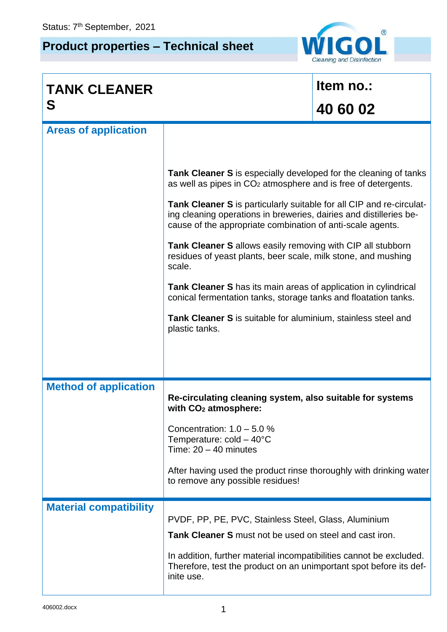## **Product properties – Technical sheet**



| <b>TANK CLEANER</b>           |                                                                                                                                                                                                                 | Item no.: |  |
|-------------------------------|-----------------------------------------------------------------------------------------------------------------------------------------------------------------------------------------------------------------|-----------|--|
| S                             |                                                                                                                                                                                                                 | 40 60 02  |  |
| <b>Areas of application</b>   |                                                                                                                                                                                                                 |           |  |
|                               | <b>Tank Cleaner S</b> is especially developed for the cleaning of tanks<br>as well as pipes in $CO2$ atmosphere and is free of detergents.                                                                      |           |  |
|                               | <b>Tank Cleaner S</b> is particularly suitable for all CIP and re-circulat-<br>ing cleaning operations in breweries, dairies and distilleries be-<br>cause of the appropriate combination of anti-scale agents. |           |  |
|                               | <b>Tank Cleaner S</b> allows easily removing with CIP all stubborn<br>residues of yeast plants, beer scale, milk stone, and mushing<br>scale.                                                                   |           |  |
|                               | Tank Cleaner S has its main areas of application in cylindrical<br>conical fermentation tanks, storage tanks and floatation tanks.                                                                              |           |  |
|                               | Tank Cleaner S is suitable for aluminium, stainless steel and<br>plastic tanks.                                                                                                                                 |           |  |
|                               |                                                                                                                                                                                                                 |           |  |
| <b>Method of application</b>  | Re-circulating cleaning system, also suitable for systems<br>with CO <sub>2</sub> atmosphere:                                                                                                                   |           |  |
|                               | Concentration: $1.0 - 5.0$ %<br>Temperature: $cold - 40^{\circ}C$<br>Time: $20 - 40$ minutes                                                                                                                    |           |  |
|                               | After having used the product rinse thoroughly with drinking water<br>to remove any possible residues!                                                                                                          |           |  |
| <b>Material compatibility</b> | PVDF, PP, PE, PVC, Stainless Steel, Glass, Aluminium                                                                                                                                                            |           |  |
|                               | Tank Cleaner S must not be used on steel and cast iron.                                                                                                                                                         |           |  |
|                               | In addition, further material incompatibilities cannot be excluded.<br>Therefore, test the product on an unimportant spot before its def-<br>inite use.                                                         |           |  |